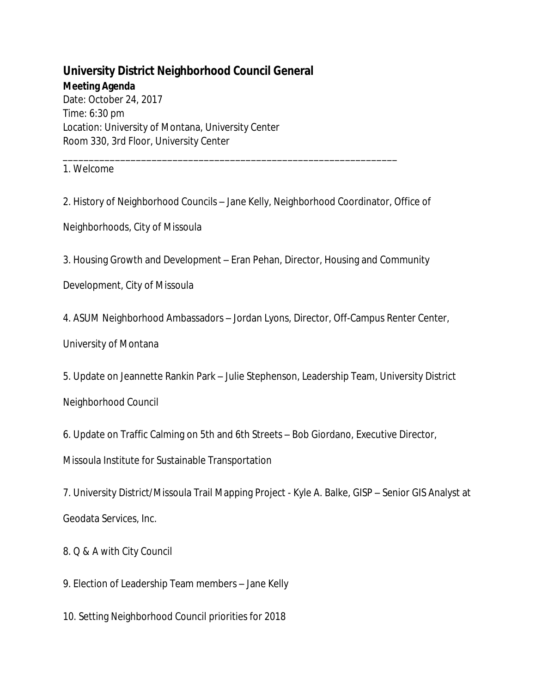## **University District Neighborhood Council General Meeting Agenda**

Date: October 24, 2017 Time: 6:30 pm Location: University of Montana, University Center Room 330, 3rd Floor, University Center

1. Welcome

2. History of Neighborhood Councils – Jane Kelly, Neighborhood Coordinator, Office of

\_\_\_\_\_\_\_\_\_\_\_\_\_\_\_\_\_\_\_\_\_\_\_\_\_\_\_\_\_\_\_\_\_\_\_\_\_\_\_\_\_\_\_\_\_\_\_\_\_\_\_\_\_\_\_\_\_\_\_\_\_\_\_\_

Neighborhoods, City of Missoula

3. Housing Growth and Development – Eran Pehan, Director, Housing and Community

Development, City of Missoula

4. ASUM Neighborhood Ambassadors – Jordan Lyons, Director, Off-Campus Renter Center,

University of Montana

5. Update on Jeannette Rankin Park – Julie Stephenson, Leadership Team, University District

Neighborhood Council

6. Update on Traffic Calming on 5th and 6th Streets – Bob Giordano, Executive Director,

Missoula Institute for Sustainable Transportation

7. University District/Missoula Trail Mapping Project - Kyle A. Balke, GISP – Senior GIS Analyst at Geodata Services, Inc.

8. Q & A with City Council

9. Election of Leadership Team members – Jane Kelly

10. Setting Neighborhood Council priorities for 2018